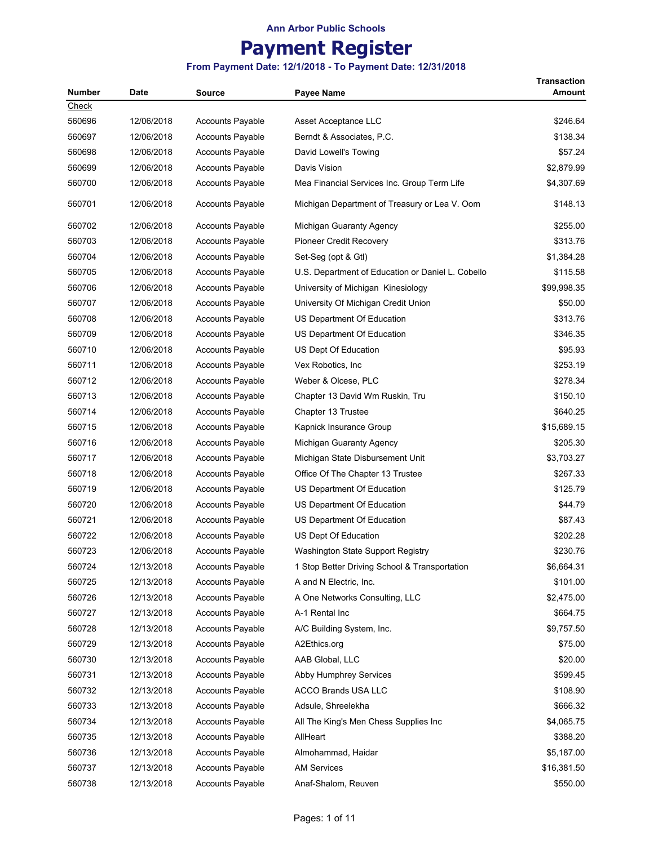# **Payment Register**

| <b>Number</b> |            |                         |                                                   | <b>Transaction</b> |
|---------------|------------|-------------------------|---------------------------------------------------|--------------------|
| <u>Check</u>  | Date       | <b>Source</b>           | Payee Name                                        | Amount             |
| 560696        | 12/06/2018 | <b>Accounts Payable</b> | Asset Acceptance LLC                              | \$246.64           |
| 560697        | 12/06/2018 | <b>Accounts Payable</b> | Berndt & Associates, P.C.                         | \$138.34           |
| 560698        |            |                         |                                                   | \$57.24            |
|               | 12/06/2018 | <b>Accounts Payable</b> | David Lowell's Towing                             |                    |
| 560699        | 12/06/2018 | <b>Accounts Payable</b> | Davis Vision                                      | \$2,879.99         |
| 560700        | 12/06/2018 | <b>Accounts Payable</b> | Mea Financial Services Inc. Group Term Life       | \$4,307.69         |
| 560701        | 12/06/2018 | <b>Accounts Payable</b> | Michigan Department of Treasury or Lea V. Oom     | \$148.13           |
| 560702        | 12/06/2018 | <b>Accounts Payable</b> | Michigan Guaranty Agency                          | \$255.00           |
| 560703        | 12/06/2018 | <b>Accounts Payable</b> | Pioneer Credit Recovery                           | \$313.76           |
| 560704        | 12/06/2018 | <b>Accounts Payable</b> | Set-Seg (opt & Gtl)                               | \$1,384.28         |
| 560705        | 12/06/2018 | <b>Accounts Payable</b> | U.S. Department of Education or Daniel L. Cobello | \$115.58           |
| 560706        | 12/06/2018 | <b>Accounts Payable</b> | University of Michigan Kinesiology                | \$99,998.35        |
| 560707        | 12/06/2018 | <b>Accounts Payable</b> | University Of Michigan Credit Union               | \$50.00            |
| 560708        | 12/06/2018 | <b>Accounts Payable</b> | US Department Of Education                        | \$313.76           |
| 560709        | 12/06/2018 | Accounts Payable        | US Department Of Education                        | \$346.35           |
| 560710        | 12/06/2018 | <b>Accounts Payable</b> | US Dept Of Education                              | \$95.93            |
| 560711        | 12/06/2018 | <b>Accounts Payable</b> | Vex Robotics, Inc.                                | \$253.19           |
| 560712        | 12/06/2018 | <b>Accounts Payable</b> | Weber & Olcese, PLC                               | \$278.34           |
| 560713        | 12/06/2018 | <b>Accounts Payable</b> | Chapter 13 David Wm Ruskin, Tru                   | \$150.10           |
| 560714        | 12/06/2018 | <b>Accounts Payable</b> | Chapter 13 Trustee                                | \$640.25           |
| 560715        | 12/06/2018 | <b>Accounts Payable</b> | Kapnick Insurance Group                           | \$15,689.15        |
| 560716        | 12/06/2018 | <b>Accounts Payable</b> | Michigan Guaranty Agency                          | \$205.30           |
| 560717        | 12/06/2018 | <b>Accounts Payable</b> | Michigan State Disbursement Unit                  | \$3,703.27         |
| 560718        | 12/06/2018 | <b>Accounts Payable</b> | Office Of The Chapter 13 Trustee                  | \$267.33           |
| 560719        | 12/06/2018 | <b>Accounts Payable</b> | US Department Of Education                        | \$125.79           |
| 560720        | 12/06/2018 | <b>Accounts Payable</b> | US Department Of Education                        | \$44.79            |
| 560721        | 12/06/2018 | <b>Accounts Payable</b> | US Department Of Education                        | \$87.43            |
|               |            |                         |                                                   | \$202.28           |
| 560722        | 12/06/2018 | <b>Accounts Payable</b> | US Dept Of Education                              |                    |
| 560723        | 12/06/2018 | <b>Accounts Payable</b> | Washington State Support Registry                 | \$230.76           |
| 560724        | 12/13/2018 | <b>Accounts Payable</b> | 1 Stop Better Driving School & Transportation     | \$6,664.31         |
| 560725        | 12/13/2018 | Accounts Payable        | A and N Electric, Inc.                            | \$101.00           |
| 560726        | 12/13/2018 | <b>Accounts Payable</b> | A One Networks Consulting, LLC                    | \$2,475.00         |
| 560727        | 12/13/2018 | Accounts Payable        | A-1 Rental Inc                                    | \$664.75           |
| 560728        | 12/13/2018 | <b>Accounts Payable</b> | A/C Building System, Inc.                         | \$9,757.50         |
| 560729        | 12/13/2018 | <b>Accounts Payable</b> | A2Ethics.org                                      | \$75.00            |
| 560730        | 12/13/2018 | <b>Accounts Payable</b> | AAB Global, LLC                                   | \$20.00            |
| 560731        | 12/13/2018 | Accounts Payable        | Abby Humphrey Services                            | \$599.45           |
| 560732        | 12/13/2018 | <b>Accounts Payable</b> | <b>ACCO Brands USA LLC</b>                        | \$108.90           |
| 560733        | 12/13/2018 | <b>Accounts Payable</b> | Adsule, Shreelekha                                | \$666.32           |
| 560734        | 12/13/2018 | <b>Accounts Payable</b> | All The King's Men Chess Supplies Inc             | \$4,065.75         |
| 560735        | 12/13/2018 | Accounts Payable        | AllHeart                                          | \$388.20           |
| 560736        | 12/13/2018 | <b>Accounts Payable</b> | Almohammad, Haidar                                | \$5,187.00         |
| 560737        | 12/13/2018 | Accounts Payable        | <b>AM Services</b>                                | \$16,381.50        |
| 560738        | 12/13/2018 | Accounts Payable        | Anaf-Shalom, Reuven                               | \$550.00           |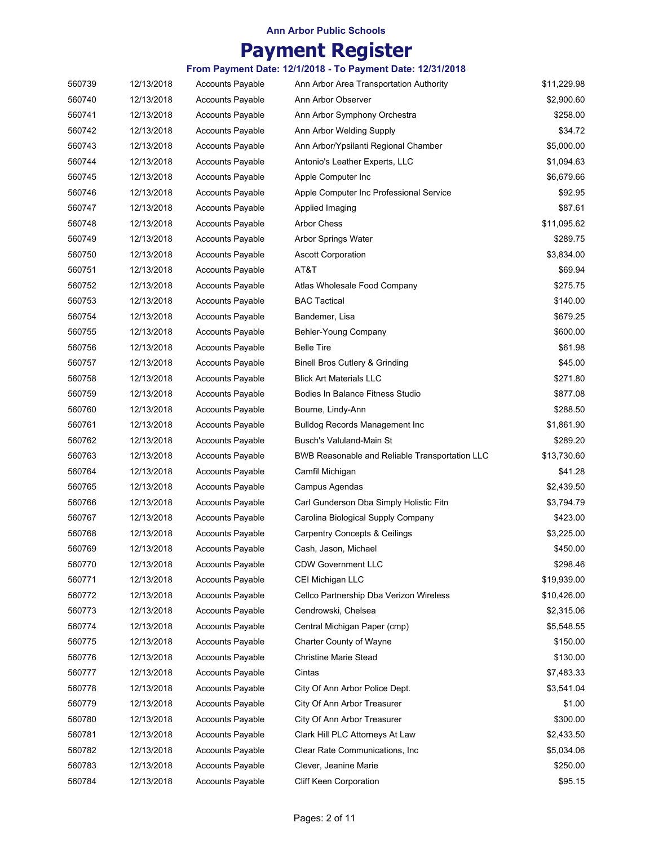# **Payment Register**

| 560739 | 12/13/2018 | <b>Accounts Payable</b> | Ann Arbor Area Transportation Authority        | \$11,229.98 |
|--------|------------|-------------------------|------------------------------------------------|-------------|
| 560740 | 12/13/2018 | <b>Accounts Payable</b> | Ann Arbor Observer                             | \$2,900.60  |
| 560741 | 12/13/2018 | <b>Accounts Payable</b> | Ann Arbor Symphony Orchestra                   | \$258.00    |
| 560742 | 12/13/2018 | <b>Accounts Payable</b> | Ann Arbor Welding Supply                       | \$34.72     |
| 560743 | 12/13/2018 | <b>Accounts Payable</b> | Ann Arbor/Ypsilanti Regional Chamber           | \$5,000.00  |
| 560744 | 12/13/2018 | Accounts Payable        | Antonio's Leather Experts, LLC                 | \$1,094.63  |
| 560745 | 12/13/2018 | <b>Accounts Payable</b> | Apple Computer Inc                             | \$6,679.66  |
| 560746 | 12/13/2018 | <b>Accounts Payable</b> | Apple Computer Inc Professional Service        | \$92.95     |
| 560747 | 12/13/2018 | Accounts Payable        | Applied Imaging                                | \$87.61     |
| 560748 | 12/13/2018 | <b>Accounts Payable</b> | <b>Arbor Chess</b>                             | \$11,095.62 |
| 560749 | 12/13/2018 | <b>Accounts Payable</b> | <b>Arbor Springs Water</b>                     | \$289.75    |
| 560750 | 12/13/2018 | <b>Accounts Payable</b> | <b>Ascott Corporation</b>                      | \$3,834.00  |
| 560751 | 12/13/2018 | <b>Accounts Payable</b> | AT&T                                           | \$69.94     |
| 560752 | 12/13/2018 | <b>Accounts Payable</b> | Atlas Wholesale Food Company                   | \$275.75    |
| 560753 | 12/13/2018 | <b>Accounts Payable</b> | <b>BAC Tactical</b>                            | \$140.00    |
| 560754 | 12/13/2018 | <b>Accounts Payable</b> | Bandemer, Lisa                                 | \$679.25    |
| 560755 | 12/13/2018 | <b>Accounts Payable</b> | Behler-Young Company                           | \$600.00    |
| 560756 | 12/13/2018 | <b>Accounts Payable</b> | Belle Tire                                     | \$61.98     |
| 560757 | 12/13/2018 | <b>Accounts Payable</b> | Binell Bros Cutlery & Grinding                 | \$45.00     |
| 560758 | 12/13/2018 | <b>Accounts Payable</b> | <b>Blick Art Materials LLC</b>                 | \$271.80    |
| 560759 | 12/13/2018 | <b>Accounts Payable</b> | Bodies In Balance Fitness Studio               | \$877.08    |
| 560760 | 12/13/2018 | <b>Accounts Payable</b> | Bourne, Lindy-Ann                              | \$288.50    |
| 560761 | 12/13/2018 | <b>Accounts Payable</b> | <b>Bulldog Records Management Inc</b>          | \$1,861.90  |
| 560762 | 12/13/2018 | <b>Accounts Payable</b> | Busch's Valuland-Main St                       | \$289.20    |
| 560763 | 12/13/2018 | <b>Accounts Payable</b> | BWB Reasonable and Reliable Transportation LLC | \$13,730.60 |
| 560764 | 12/13/2018 | <b>Accounts Payable</b> | Camfil Michigan                                | \$41.28     |
| 560765 | 12/13/2018 | <b>Accounts Payable</b> | Campus Agendas                                 | \$2,439.50  |
| 560766 | 12/13/2018 | <b>Accounts Payable</b> | Carl Gunderson Dba Simply Holistic Fitn        | \$3,794.79  |
| 560767 | 12/13/2018 | <b>Accounts Payable</b> | Carolina Biological Supply Company             | \$423.00    |
| 560768 | 12/13/2018 | <b>Accounts Payable</b> | <b>Carpentry Concepts &amp; Ceilings</b>       | \$3,225.00  |
| 560769 | 12/13/2018 | Accounts Payable        | Cash, Jason, Michael                           | \$450.00    |
| 560770 | 12/13/2018 | <b>Accounts Payable</b> | <b>CDW Government LLC</b>                      | \$298.46    |
| 560771 | 12/13/2018 | <b>Accounts Payable</b> | CEI Michigan LLC                               | \$19,939.00 |
| 560772 | 12/13/2018 | <b>Accounts Payable</b> | Cellco Partnership Dba Verizon Wireless        | \$10,426.00 |
| 560773 | 12/13/2018 | <b>Accounts Payable</b> | Cendrowski, Chelsea                            | \$2,315.06  |
| 560774 | 12/13/2018 | <b>Accounts Payable</b> | Central Michigan Paper (cmp)                   | \$5,548.55  |
| 560775 | 12/13/2018 | Accounts Payable        | <b>Charter County of Wayne</b>                 | \$150.00    |
| 560776 | 12/13/2018 | <b>Accounts Payable</b> | <b>Christine Marie Stead</b>                   | \$130.00    |
| 560777 | 12/13/2018 | <b>Accounts Payable</b> | Cintas                                         | \$7,483.33  |
| 560778 | 12/13/2018 | Accounts Payable        | City Of Ann Arbor Police Dept.                 | \$3,541.04  |
| 560779 | 12/13/2018 | Accounts Payable        | City Of Ann Arbor Treasurer                    | \$1.00      |
| 560780 | 12/13/2018 | <b>Accounts Payable</b> | City Of Ann Arbor Treasurer                    | \$300.00    |
| 560781 | 12/13/2018 | Accounts Payable        | Clark Hill PLC Attorneys At Law                | \$2,433.50  |
| 560782 | 12/13/2018 | <b>Accounts Payable</b> | Clear Rate Communications, Inc.                | \$5,034.06  |
| 560783 | 12/13/2018 | Accounts Payable        | Clever, Jeanine Marie                          | \$250.00    |
| 560784 | 12/13/2018 | Accounts Payable        | Cliff Keen Corporation                         | \$95.15     |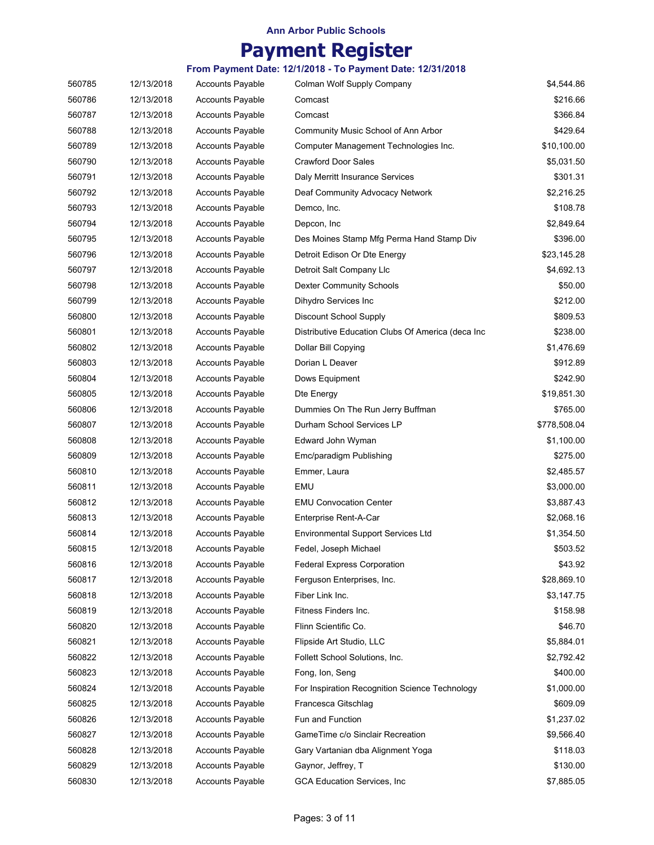# **Payment Register**

| 560785 | 12/13/2018 | <b>Accounts Payable</b> | Colman Wolf Supply Company                        | \$4,544.86   |
|--------|------------|-------------------------|---------------------------------------------------|--------------|
| 560786 | 12/13/2018 | Accounts Payable        | Comcast                                           | \$216.66     |
| 560787 | 12/13/2018 | <b>Accounts Payable</b> | Comcast                                           | \$366.84     |
| 560788 | 12/13/2018 | <b>Accounts Payable</b> | Community Music School of Ann Arbor               | \$429.64     |
| 560789 | 12/13/2018 | <b>Accounts Payable</b> | Computer Management Technologies Inc.             | \$10,100.00  |
| 560790 | 12/13/2018 | <b>Accounts Payable</b> | <b>Crawford Door Sales</b>                        | \$5,031.50   |
| 560791 | 12/13/2018 | <b>Accounts Payable</b> | Daly Merritt Insurance Services                   | \$301.31     |
| 560792 | 12/13/2018 | <b>Accounts Payable</b> | Deaf Community Advocacy Network                   | \$2,216.25   |
| 560793 | 12/13/2018 | <b>Accounts Payable</b> | Demco, Inc.                                       | \$108.78     |
| 560794 | 12/13/2018 | <b>Accounts Payable</b> | Depcon, Inc                                       | \$2,849.64   |
| 560795 | 12/13/2018 | <b>Accounts Payable</b> | Des Moines Stamp Mfg Perma Hand Stamp Div         | \$396.00     |
| 560796 | 12/13/2018 | <b>Accounts Payable</b> | Detroit Edison Or Dte Energy                      | \$23,145.28  |
| 560797 | 12/13/2018 | <b>Accounts Payable</b> | Detroit Salt Company Llc                          | \$4,692.13   |
| 560798 | 12/13/2018 | <b>Accounts Payable</b> | <b>Dexter Community Schools</b>                   | \$50.00      |
| 560799 | 12/13/2018 | <b>Accounts Payable</b> | Dihydro Services Inc                              | \$212.00     |
| 560800 | 12/13/2018 | <b>Accounts Payable</b> | <b>Discount School Supply</b>                     | \$809.53     |
| 560801 | 12/13/2018 | <b>Accounts Payable</b> | Distributive Education Clubs Of America (deca Inc | \$238.00     |
| 560802 | 12/13/2018 | <b>Accounts Payable</b> | Dollar Bill Copying                               | \$1,476.69   |
| 560803 | 12/13/2018 | <b>Accounts Payable</b> | Dorian L Deaver                                   | \$912.89     |
| 560804 | 12/13/2018 | <b>Accounts Payable</b> | Dows Equipment                                    | \$242.90     |
| 560805 | 12/13/2018 | <b>Accounts Payable</b> | Dte Energy                                        | \$19,851.30  |
| 560806 | 12/13/2018 | <b>Accounts Payable</b> | Dummies On The Run Jerry Buffman                  | \$765.00     |
| 560807 | 12/13/2018 | <b>Accounts Payable</b> | Durham School Services LP                         | \$778,508.04 |
| 560808 | 12/13/2018 | <b>Accounts Payable</b> | Edward John Wyman                                 | \$1,100.00   |
| 560809 | 12/13/2018 | <b>Accounts Payable</b> | Emc/paradigm Publishing                           | \$275.00     |
| 560810 | 12/13/2018 | <b>Accounts Payable</b> | Emmer, Laura                                      | \$2,485.57   |
| 560811 | 12/13/2018 | <b>Accounts Payable</b> | EMU                                               | \$3,000.00   |
| 560812 | 12/13/2018 | <b>Accounts Payable</b> | <b>EMU Convocation Center</b>                     | \$3,887.43   |
| 560813 | 12/13/2018 | <b>Accounts Payable</b> | Enterprise Rent-A-Car                             | \$2,068.16   |
| 560814 | 12/13/2018 | Accounts Payable        | <b>Environmental Support Services Ltd</b>         | \$1,354.50   |
| 560815 | 12/13/2018 | Accounts Payable        | Fedel, Joseph Michael                             | \$503.52     |
| 560816 | 12/13/2018 | <b>Accounts Payable</b> | <b>Federal Express Corporation</b>                | \$43.92      |
| 560817 | 12/13/2018 | Accounts Payable        | Ferguson Enterprises, Inc.                        | \$28,869.10  |
| 560818 | 12/13/2018 | <b>Accounts Payable</b> | Fiber Link Inc.                                   | \$3,147.75   |
| 560819 | 12/13/2018 | <b>Accounts Payable</b> | Fitness Finders Inc.                              | \$158.98     |
| 560820 | 12/13/2018 | <b>Accounts Payable</b> | Flinn Scientific Co.                              | \$46.70      |
| 560821 | 12/13/2018 | <b>Accounts Payable</b> | Flipside Art Studio, LLC                          | \$5,884.01   |
| 560822 | 12/13/2018 | <b>Accounts Payable</b> | Follett School Solutions, Inc.                    | \$2,792.42   |
| 560823 | 12/13/2018 | <b>Accounts Payable</b> | Fong, Ion, Seng                                   | \$400.00     |
| 560824 | 12/13/2018 | <b>Accounts Payable</b> | For Inspiration Recognition Science Technology    | \$1,000.00   |
| 560825 | 12/13/2018 | <b>Accounts Payable</b> | Francesca Gitschlag                               | \$609.09     |
| 560826 | 12/13/2018 | <b>Accounts Payable</b> | Fun and Function                                  | \$1,237.02   |
| 560827 | 12/13/2018 | Accounts Payable        | GameTime c/o Sinclair Recreation                  | \$9,566.40   |
| 560828 | 12/13/2018 | <b>Accounts Payable</b> | Gary Vartanian dba Alignment Yoga                 | \$118.03     |
| 560829 | 12/13/2018 | Accounts Payable        | Gaynor, Jeffrey, T                                | \$130.00     |
| 560830 | 12/13/2018 | <b>Accounts Payable</b> | GCA Education Services, Inc                       | \$7,885.05   |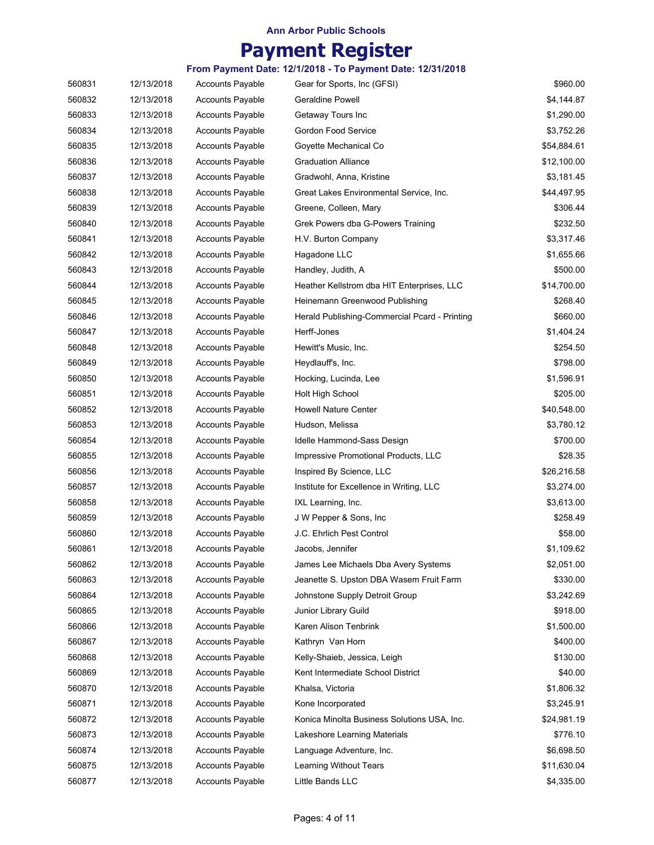# **Payment Register**

| 560831 | 12/13/2018 | <b>Accounts Payable</b> | Gear for Sports, Inc (GFSI)                   | \$960.00    |
|--------|------------|-------------------------|-----------------------------------------------|-------------|
| 560832 | 12/13/2018 | <b>Accounts Payable</b> | <b>Geraldine Powell</b>                       | \$4,144.87  |
| 560833 | 12/13/2018 | <b>Accounts Payable</b> | Getaway Tours Inc                             | \$1,290.00  |
| 560834 | 12/13/2018 | <b>Accounts Payable</b> | Gordon Food Service                           | \$3,752.26  |
| 560835 | 12/13/2018 | <b>Accounts Payable</b> | Goyette Mechanical Co                         | \$54,884.61 |
| 560836 | 12/13/2018 | <b>Accounts Payable</b> | <b>Graduation Alliance</b>                    | \$12,100.00 |
| 560837 | 12/13/2018 | <b>Accounts Payable</b> | Gradwohl, Anna, Kristine                      | \$3,181.45  |
| 560838 | 12/13/2018 | <b>Accounts Payable</b> | Great Lakes Environmental Service, Inc.       | \$44,497.95 |
| 560839 | 12/13/2018 | <b>Accounts Payable</b> | Greene, Colleen, Mary                         | \$306.44    |
| 560840 | 12/13/2018 | <b>Accounts Payable</b> | Grek Powers dba G-Powers Training             | \$232.50    |
| 560841 | 12/13/2018 | <b>Accounts Payable</b> | H.V. Burton Company                           | \$3,317.46  |
| 560842 | 12/13/2018 | <b>Accounts Payable</b> | Hagadone LLC                                  | \$1,655.66  |
| 560843 | 12/13/2018 | <b>Accounts Payable</b> | Handley, Judith, A                            | \$500.00    |
| 560844 | 12/13/2018 | <b>Accounts Payable</b> | Heather Kellstrom dba HIT Enterprises, LLC    | \$14,700.00 |
| 560845 | 12/13/2018 | <b>Accounts Payable</b> | Heinemann Greenwood Publishing                | \$268.40    |
| 560846 | 12/13/2018 | <b>Accounts Payable</b> | Herald Publishing-Commercial Pcard - Printing | \$660.00    |
| 560847 | 12/13/2018 | <b>Accounts Payable</b> | Herff-Jones                                   | \$1,404.24  |
| 560848 | 12/13/2018 | <b>Accounts Payable</b> | Hewitt's Music, Inc.                          | \$254.50    |
| 560849 | 12/13/2018 | <b>Accounts Payable</b> | Heydlauff's, Inc.                             | \$798.00    |
| 560850 | 12/13/2018 | <b>Accounts Payable</b> | Hocking, Lucinda, Lee                         | \$1,596.91  |
| 560851 | 12/13/2018 | <b>Accounts Payable</b> | Holt High School                              | \$205.00    |
| 560852 | 12/13/2018 | <b>Accounts Payable</b> | <b>Howell Nature Center</b>                   | \$40,548.00 |
| 560853 | 12/13/2018 | <b>Accounts Payable</b> | Hudson, Melissa                               | \$3,780.12  |
| 560854 | 12/13/2018 | <b>Accounts Payable</b> | Idelle Hammond-Sass Design                    | \$700.00    |
| 560855 | 12/13/2018 | Accounts Payable        | Impressive Promotional Products, LLC          | \$28.35     |
| 560856 | 12/13/2018 | <b>Accounts Payable</b> | Inspired By Science, LLC                      | \$26,216.58 |
| 560857 | 12/13/2018 | <b>Accounts Payable</b> | Institute for Excellence in Writing, LLC      | \$3,274.00  |
| 560858 | 12/13/2018 | <b>Accounts Payable</b> | IXL Learning, Inc.                            | \$3,613.00  |
| 560859 | 12/13/2018 | <b>Accounts Payable</b> | J W Pepper & Sons, Inc.                       | \$258.49    |
| 560860 | 12/13/2018 | <b>Accounts Payable</b> | J.C. Ehrlich Pest Control                     | \$58.00     |
| 560861 | 12/13/2018 | <b>Accounts Payable</b> | Jacobs, Jennifer                              | \$1,109.62  |
| 560862 | 12/13/2018 | <b>Accounts Payable</b> | James Lee Michaels Dba Avery Systems          | \$2,051.00  |
| 560863 | 12/13/2018 | <b>Accounts Payable</b> | Jeanette S. Upston DBA Wasem Fruit Farm       | \$330.00    |
| 560864 | 12/13/2018 | <b>Accounts Payable</b> | Johnstone Supply Detroit Group                | \$3,242.69  |
| 560865 | 12/13/2018 | <b>Accounts Payable</b> | Junior Library Guild                          | \$918.00    |
| 560866 | 12/13/2018 | <b>Accounts Payable</b> | Karen Alison Tenbrink                         | \$1,500.00  |
| 560867 | 12/13/2018 | <b>Accounts Payable</b> | Kathryn Van Horn                              | \$400.00    |
| 560868 | 12/13/2018 | <b>Accounts Payable</b> | Kelly-Shaieb, Jessica, Leigh                  | \$130.00    |
| 560869 | 12/13/2018 | <b>Accounts Payable</b> | Kent Intermediate School District             | \$40.00     |
| 560870 | 12/13/2018 | <b>Accounts Payable</b> | Khalsa, Victoria                              | \$1,806.32  |
| 560871 | 12/13/2018 | <b>Accounts Payable</b> | Kone Incorporated                             | \$3,245.91  |
| 560872 | 12/13/2018 | <b>Accounts Payable</b> | Konica Minolta Business Solutions USA, Inc.   | \$24,981.19 |
| 560873 | 12/13/2018 | <b>Accounts Payable</b> | Lakeshore Learning Materials                  | \$776.10    |
| 560874 | 12/13/2018 | <b>Accounts Payable</b> | Language Adventure, Inc.                      | \$6,698.50  |
| 560875 | 12/13/2018 | <b>Accounts Payable</b> | Learning Without Tears                        | \$11,630.04 |
| 560877 | 12/13/2018 | Accounts Payable        | Little Bands LLC                              | \$4,335.00  |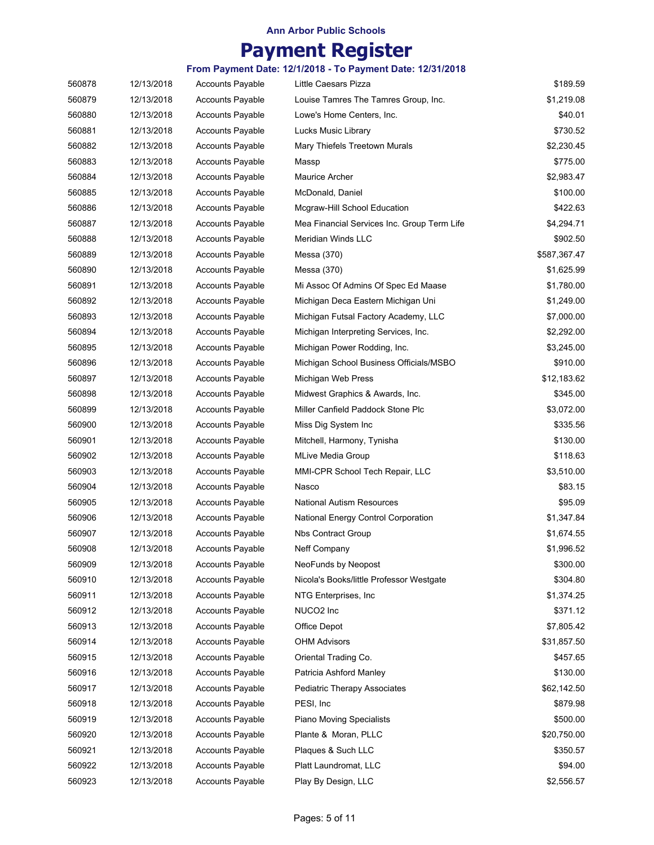# **Payment Register**

| 560878 | 12/13/2018 | <b>Accounts Payable</b> | Little Caesars Pizza                        | \$189.59     |
|--------|------------|-------------------------|---------------------------------------------|--------------|
| 560879 | 12/13/2018 | <b>Accounts Payable</b> | Louise Tamres The Tamres Group, Inc.        | \$1,219.08   |
| 560880 | 12/13/2018 | Accounts Payable        | Lowe's Home Centers, Inc.                   | \$40.01      |
| 560881 | 12/13/2018 | <b>Accounts Payable</b> | Lucks Music Library                         | \$730.52     |
| 560882 | 12/13/2018 | <b>Accounts Payable</b> | Mary Thiefels Treetown Murals               | \$2,230.45   |
| 560883 | 12/13/2018 | <b>Accounts Payable</b> | Massp                                       | \$775.00     |
| 560884 | 12/13/2018 | <b>Accounts Payable</b> | <b>Maurice Archer</b>                       | \$2,983.47   |
| 560885 | 12/13/2018 | <b>Accounts Payable</b> | McDonald, Daniel                            | \$100.00     |
| 560886 | 12/13/2018 | <b>Accounts Payable</b> | Mcgraw-Hill School Education                | \$422.63     |
| 560887 | 12/13/2018 | Accounts Payable        | Mea Financial Services Inc. Group Term Life | \$4,294.71   |
| 560888 | 12/13/2018 | <b>Accounts Payable</b> | <b>Meridian Winds LLC</b>                   | \$902.50     |
| 560889 | 12/13/2018 | <b>Accounts Payable</b> | Messa (370)                                 | \$587,367.47 |
| 560890 | 12/13/2018 | <b>Accounts Payable</b> | Messa (370)                                 | \$1,625.99   |
| 560891 | 12/13/2018 | <b>Accounts Payable</b> | Mi Assoc Of Admins Of Spec Ed Maase         | \$1,780.00   |
| 560892 | 12/13/2018 | <b>Accounts Payable</b> | Michigan Deca Eastern Michigan Uni          | \$1,249.00   |
| 560893 | 12/13/2018 | <b>Accounts Payable</b> | Michigan Futsal Factory Academy, LLC        | \$7,000.00   |
| 560894 | 12/13/2018 | <b>Accounts Payable</b> | Michigan Interpreting Services, Inc.        | \$2,292.00   |
| 560895 | 12/13/2018 | <b>Accounts Payable</b> | Michigan Power Rodding, Inc.                | \$3,245.00   |
| 560896 | 12/13/2018 | <b>Accounts Payable</b> | Michigan School Business Officials/MSBO     | \$910.00     |
| 560897 | 12/13/2018 | <b>Accounts Payable</b> | Michigan Web Press                          | \$12,183.62  |
| 560898 | 12/13/2018 | <b>Accounts Payable</b> | Midwest Graphics & Awards, Inc.             | \$345.00     |
| 560899 | 12/13/2018 | Accounts Payable        | Miller Canfield Paddock Stone Plc           | \$3,072.00   |
| 560900 | 12/13/2018 | <b>Accounts Payable</b> | Miss Dig System Inc                         | \$335.56     |
| 560901 | 12/13/2018 | <b>Accounts Payable</b> | Mitchell, Harmony, Tynisha                  | \$130.00     |
| 560902 | 12/13/2018 | <b>Accounts Payable</b> | <b>MLive Media Group</b>                    | \$118.63     |
| 560903 | 12/13/2018 | <b>Accounts Payable</b> | MMI-CPR School Tech Repair, LLC             | \$3,510.00   |
| 560904 | 12/13/2018 | <b>Accounts Payable</b> | Nasco                                       | \$83.15      |
| 560905 | 12/13/2018 | Accounts Payable        | <b>National Autism Resources</b>            | \$95.09      |
| 560906 | 12/13/2018 | Accounts Payable        | National Energy Control Corporation         | \$1,347.84   |
| 560907 | 12/13/2018 | <b>Accounts Payable</b> | Nbs Contract Group                          | \$1,674.55   |
| 560908 | 12/13/2018 | <b>Accounts Payable</b> | Neff Company                                | \$1,996.52   |
| 560909 | 12/13/2018 | <b>Accounts Payable</b> | NeoFunds by Neopost                         | \$300.00     |
| 560910 | 12/13/2018 | <b>Accounts Payable</b> | Nicola's Books/little Professor Westgate    | \$304.80     |
| 560911 | 12/13/2018 | <b>Accounts Payable</b> | NTG Enterprises, Inc.                       | \$1,374.25   |
| 560912 | 12/13/2018 | <b>Accounts Payable</b> | NUCO <sub>2</sub> Inc                       | \$371.12     |
| 560913 | 12/13/2018 | <b>Accounts Payable</b> | Office Depot                                | \$7,805.42   |
| 560914 | 12/13/2018 | <b>Accounts Payable</b> | <b>OHM Advisors</b>                         | \$31,857.50  |
| 560915 | 12/13/2018 | <b>Accounts Payable</b> | Oriental Trading Co.                        | \$457.65     |
| 560916 | 12/13/2018 | <b>Accounts Payable</b> | Patricia Ashford Manley                     | \$130.00     |
| 560917 | 12/13/2018 | <b>Accounts Payable</b> | <b>Pediatric Therapy Associates</b>         | \$62,142.50  |
| 560918 | 12/13/2018 | <b>Accounts Payable</b> | PESI, Inc.                                  | \$879.98     |
| 560919 | 12/13/2018 | <b>Accounts Payable</b> | Piano Moving Specialists                    | \$500.00     |
| 560920 | 12/13/2018 | <b>Accounts Payable</b> | Plante & Moran, PLLC                        | \$20,750.00  |
| 560921 | 12/13/2018 | <b>Accounts Payable</b> | Plaques & Such LLC                          | \$350.57     |
| 560922 | 12/13/2018 | <b>Accounts Payable</b> | Platt Laundromat, LLC                       | \$94.00      |
| 560923 | 12/13/2018 | <b>Accounts Payable</b> | Play By Design, LLC                         | \$2,556.57   |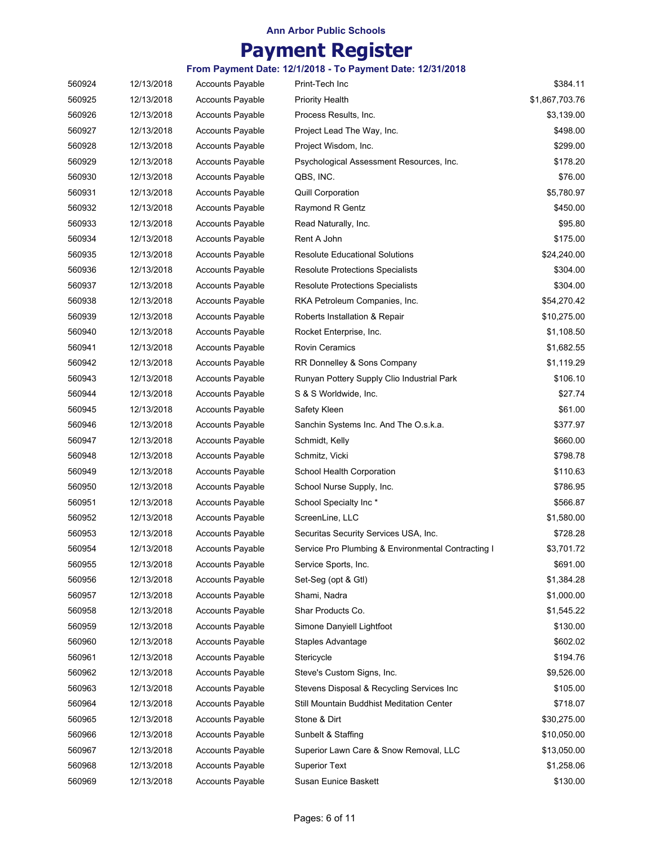# **Payment Register**

| 560924 | 12/13/2018 | <b>Accounts Payable</b> | Print-Tech Inc                                     | \$384.11       |
|--------|------------|-------------------------|----------------------------------------------------|----------------|
| 560925 | 12/13/2018 | <b>Accounts Payable</b> | <b>Priority Health</b>                             | \$1,867,703.76 |
| 560926 | 12/13/2018 | <b>Accounts Payable</b> | Process Results, Inc.                              | \$3,139.00     |
| 560927 | 12/13/2018 | <b>Accounts Payable</b> | Project Lead The Way, Inc.                         | \$498.00       |
| 560928 | 12/13/2018 | <b>Accounts Payable</b> | Project Wisdom, Inc.                               | \$299.00       |
| 560929 | 12/13/2018 | <b>Accounts Payable</b> | Psychological Assessment Resources, Inc.           | \$178.20       |
| 560930 | 12/13/2018 | <b>Accounts Payable</b> | QBS, INC.                                          | \$76.00        |
| 560931 | 12/13/2018 | <b>Accounts Payable</b> | <b>Quill Corporation</b>                           | \$5,780.97     |
| 560932 | 12/13/2018 | <b>Accounts Payable</b> | Raymond R Gentz                                    | \$450.00       |
| 560933 | 12/13/2018 | <b>Accounts Payable</b> | Read Naturally, Inc.                               | \$95.80        |
| 560934 | 12/13/2018 | <b>Accounts Payable</b> | Rent A John                                        | \$175.00       |
| 560935 | 12/13/2018 | <b>Accounts Payable</b> | <b>Resolute Educational Solutions</b>              | \$24,240.00    |
| 560936 | 12/13/2018 | <b>Accounts Payable</b> | <b>Resolute Protections Specialists</b>            | \$304.00       |
| 560937 | 12/13/2018 | <b>Accounts Payable</b> | <b>Resolute Protections Specialists</b>            | \$304.00       |
| 560938 | 12/13/2018 | <b>Accounts Payable</b> | RKA Petroleum Companies, Inc.                      | \$54,270.42    |
| 560939 | 12/13/2018 | <b>Accounts Payable</b> | Roberts Installation & Repair                      | \$10,275.00    |
| 560940 | 12/13/2018 | <b>Accounts Payable</b> | Rocket Enterprise, Inc.                            | \$1,108.50     |
| 560941 | 12/13/2018 | <b>Accounts Payable</b> | Rovin Ceramics                                     | \$1,682.55     |
| 560942 | 12/13/2018 | Accounts Payable        | RR Donnelley & Sons Company                        | \$1,119.29     |
| 560943 | 12/13/2018 | <b>Accounts Payable</b> | Runyan Pottery Supply Clio Industrial Park         | \$106.10       |
| 560944 | 12/13/2018 | <b>Accounts Payable</b> | S & S Worldwide, Inc.                              | \$27.74        |
| 560945 | 12/13/2018 | <b>Accounts Payable</b> | Safety Kleen                                       | \$61.00        |
| 560946 | 12/13/2018 | <b>Accounts Payable</b> | Sanchin Systems Inc. And The O.s.k.a.              | \$377.97       |
| 560947 | 12/13/2018 | <b>Accounts Payable</b> | Schmidt, Kelly                                     | \$660.00       |
| 560948 | 12/13/2018 | <b>Accounts Payable</b> | Schmitz, Vicki                                     | \$798.78       |
| 560949 | 12/13/2018 | <b>Accounts Payable</b> | School Health Corporation                          | \$110.63       |
| 560950 | 12/13/2018 | <b>Accounts Payable</b> | School Nurse Supply, Inc.                          | \$786.95       |
| 560951 | 12/13/2018 | <b>Accounts Payable</b> | School Specialty Inc*                              | \$566.87       |
| 560952 | 12/13/2018 | <b>Accounts Payable</b> | ScreenLine, LLC                                    | \$1,580.00     |
| 560953 | 12/13/2018 | <b>Accounts Payable</b> | Securitas Security Services USA, Inc.              | \$728.28       |
| 560954 | 12/13/2018 | <b>Accounts Payable</b> | Service Pro Plumbing & Environmental Contracting I | \$3,701.72     |
| 560955 | 12/13/2018 | <b>Accounts Payable</b> | Service Sports, Inc.                               | \$691.00       |
| 560956 | 12/13/2018 | <b>Accounts Payable</b> | Set-Seg (opt & Gtl)                                | \$1,384.28     |
| 560957 | 12/13/2018 | <b>Accounts Payable</b> | Shami, Nadra                                       | \$1,000.00     |
| 560958 | 12/13/2018 | <b>Accounts Payable</b> | Shar Products Co.                                  | \$1,545.22     |
| 560959 | 12/13/2018 | <b>Accounts Payable</b> | Simone Danyiell Lightfoot                          | \$130.00       |
| 560960 | 12/13/2018 | Accounts Payable        | Staples Advantage                                  | \$602.02       |
| 560961 | 12/13/2018 | <b>Accounts Payable</b> | Stericycle                                         | \$194.76       |
| 560962 | 12/13/2018 | <b>Accounts Payable</b> | Steve's Custom Signs, Inc.                         | \$9,526.00     |
| 560963 | 12/13/2018 | <b>Accounts Payable</b> | Stevens Disposal & Recycling Services Inc          | \$105.00       |
| 560964 | 12/13/2018 | <b>Accounts Payable</b> | Still Mountain Buddhist Meditation Center          | \$718.07       |
| 560965 | 12/13/2018 | <b>Accounts Payable</b> | Stone & Dirt                                       | \$30,275.00    |
| 560966 | 12/13/2018 | Accounts Payable        | Sunbelt & Staffing                                 | \$10,050.00    |
| 560967 | 12/13/2018 | Accounts Payable        | Superior Lawn Care & Snow Removal, LLC             | \$13,050.00    |
| 560968 | 12/13/2018 | Accounts Payable        | <b>Superior Text</b>                               | \$1,258.06     |
| 560969 | 12/13/2018 | <b>Accounts Payable</b> | Susan Eunice Baskett                               | \$130.00       |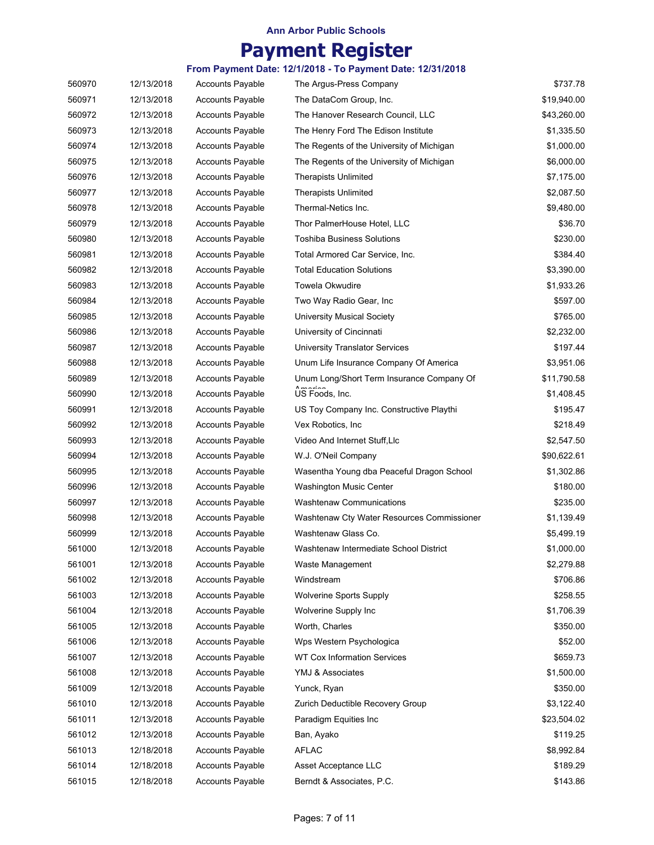## **Payment Register**

| 560970 | 12/13/2018 | <b>Accounts Payable</b> | The Argus-Press Company                    | \$737.78    |
|--------|------------|-------------------------|--------------------------------------------|-------------|
| 560971 | 12/13/2018 | <b>Accounts Payable</b> | The DataCom Group, Inc.                    | \$19,940.00 |
| 560972 | 12/13/2018 | <b>Accounts Payable</b> | The Hanover Research Council, LLC          | \$43,260.00 |
| 560973 | 12/13/2018 | <b>Accounts Payable</b> | The Henry Ford The Edison Institute        | \$1,335.50  |
| 560974 | 12/13/2018 | <b>Accounts Payable</b> | The Regents of the University of Michigan  | \$1,000.00  |
| 560975 | 12/13/2018 | <b>Accounts Payable</b> | The Regents of the University of Michigan  | \$6,000.00  |
| 560976 | 12/13/2018 | <b>Accounts Payable</b> | <b>Therapists Unlimited</b>                | \$7,175.00  |
| 560977 | 12/13/2018 | <b>Accounts Payable</b> | <b>Therapists Unlimited</b>                | \$2,087.50  |
| 560978 | 12/13/2018 | <b>Accounts Payable</b> | Thermal-Netics Inc.                        | \$9,480.00  |
| 560979 | 12/13/2018 | <b>Accounts Payable</b> | Thor PalmerHouse Hotel, LLC                | \$36.70     |
| 560980 | 12/13/2018 | <b>Accounts Payable</b> | Toshiba Business Solutions                 | \$230.00    |
| 560981 | 12/13/2018 | <b>Accounts Payable</b> | Total Armored Car Service, Inc.            | \$384.40    |
| 560982 | 12/13/2018 | <b>Accounts Payable</b> | <b>Total Education Solutions</b>           | \$3,390.00  |
| 560983 | 12/13/2018 | <b>Accounts Payable</b> | Towela Okwudire                            | \$1,933.26  |
| 560984 | 12/13/2018 | <b>Accounts Payable</b> | Two Way Radio Gear, Inc.                   | \$597.00    |
| 560985 | 12/13/2018 | <b>Accounts Payable</b> | <b>University Musical Society</b>          | \$765.00    |
| 560986 | 12/13/2018 | <b>Accounts Payable</b> | University of Cincinnati                   | \$2,232.00  |
| 560987 | 12/13/2018 | <b>Accounts Payable</b> | <b>University Translator Services</b>      | \$197.44    |
| 560988 | 12/13/2018 | <b>Accounts Payable</b> | Unum Life Insurance Company Of America     | \$3,951.06  |
| 560989 | 12/13/2018 | <b>Accounts Payable</b> | Unum Long/Short Term Insurance Company Of  | \$11,790.58 |
| 560990 | 12/13/2018 | <b>Accounts Payable</b> | US Foods, Inc.                             | \$1,408.45  |
| 560991 | 12/13/2018 | <b>Accounts Payable</b> | US Toy Company Inc. Constructive Playthi   | \$195.47    |
| 560992 | 12/13/2018 | <b>Accounts Payable</b> | Vex Robotics, Inc.                         | \$218.49    |
| 560993 | 12/13/2018 | <b>Accounts Payable</b> | Video And Internet Stuff, Llc              | \$2,547.50  |
| 560994 | 12/13/2018 | <b>Accounts Payable</b> | W.J. O'Neil Company                        | \$90,622.61 |
| 560995 | 12/13/2018 | <b>Accounts Payable</b> | Wasentha Young dba Peaceful Dragon School  | \$1,302.86  |
| 560996 | 12/13/2018 | <b>Accounts Payable</b> | Washington Music Center                    | \$180.00    |
| 560997 | 12/13/2018 | <b>Accounts Payable</b> | <b>Washtenaw Communications</b>            | \$235.00    |
| 560998 | 12/13/2018 | <b>Accounts Payable</b> | Washtenaw Cty Water Resources Commissioner | \$1,139.49  |
| 560999 | 12/13/2018 | <b>Accounts Payable</b> | Washtenaw Glass Co.                        | \$5,499.19  |
| 561000 | 12/13/2018 | <b>Accounts Payable</b> | Washtenaw Intermediate School District     | \$1,000.00  |
| 561001 | 12/13/2018 | <b>Accounts Payable</b> | Waste Management                           | \$2,279.88  |
| 561002 | 12/13/2018 | <b>Accounts Payable</b> | Windstream                                 | \$706.86    |
| 561003 | 12/13/2018 | <b>Accounts Payable</b> | <b>Wolverine Sports Supply</b>             | \$258.55    |
| 561004 | 12/13/2018 | <b>Accounts Payable</b> | Wolverine Supply Inc                       | \$1,706.39  |
| 561005 | 12/13/2018 | Accounts Payable        | Worth, Charles                             | \$350.00    |
| 561006 | 12/13/2018 | <b>Accounts Payable</b> | Wps Western Psychologica                   | \$52.00     |
| 561007 | 12/13/2018 | <b>Accounts Payable</b> | <b>WT Cox Information Services</b>         | \$659.73    |
| 561008 | 12/13/2018 | <b>Accounts Payable</b> | YMJ & Associates                           | \$1,500.00  |
| 561009 | 12/13/2018 | <b>Accounts Payable</b> | Yunck, Ryan                                | \$350.00    |
| 561010 | 12/13/2018 | <b>Accounts Payable</b> | Zurich Deductible Recovery Group           | \$3,122.40  |
| 561011 | 12/13/2018 | <b>Accounts Payable</b> | Paradigm Equities Inc                      | \$23,504.02 |
| 561012 | 12/13/2018 | <b>Accounts Payable</b> | Ban, Ayako                                 | \$119.25    |
| 561013 | 12/18/2018 | <b>Accounts Payable</b> | <b>AFLAC</b>                               | \$8,992.84  |
| 561014 |            | <b>Accounts Payable</b> |                                            | \$189.29    |
|        | 12/18/2018 |                         | Asset Acceptance LLC                       |             |
| 561015 | 12/18/2018 | <b>Accounts Payable</b> | Berndt & Associates, P.C.                  | \$143.86    |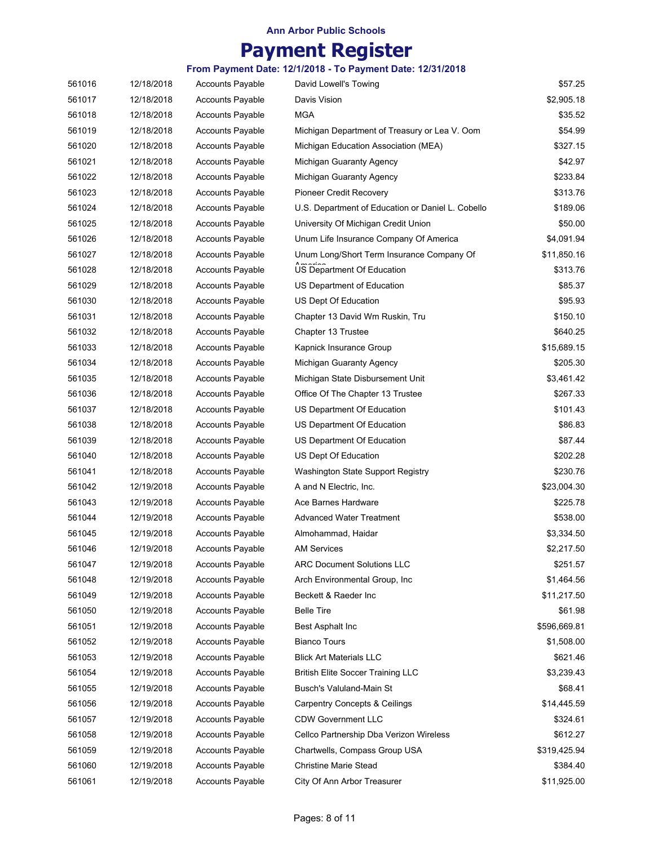# **Payment Register**

| 561016 | 12/18/2018 | <b>Accounts Payable</b> | David Lowell's Towing                             | \$57.25      |
|--------|------------|-------------------------|---------------------------------------------------|--------------|
| 561017 | 12/18/2018 | <b>Accounts Payable</b> | Davis Vision                                      | \$2,905.18   |
| 561018 | 12/18/2018 | <b>Accounts Payable</b> | <b>MGA</b>                                        | \$35.52      |
| 561019 | 12/18/2018 | <b>Accounts Payable</b> | Michigan Department of Treasury or Lea V. Oom     | \$54.99      |
| 561020 | 12/18/2018 | <b>Accounts Payable</b> | Michigan Education Association (MEA)              | \$327.15     |
| 561021 | 12/18/2018 | <b>Accounts Payable</b> | Michigan Guaranty Agency                          | \$42.97      |
| 561022 | 12/18/2018 | <b>Accounts Payable</b> | Michigan Guaranty Agency                          | \$233.84     |
| 561023 | 12/18/2018 | <b>Accounts Payable</b> | Pioneer Credit Recovery                           | \$313.76     |
| 561024 | 12/18/2018 | <b>Accounts Payable</b> | U.S. Department of Education or Daniel L. Cobello | \$189.06     |
| 561025 | 12/18/2018 | <b>Accounts Payable</b> | University Of Michigan Credit Union               | \$50.00      |
| 561026 | 12/18/2018 | <b>Accounts Payable</b> | Unum Life Insurance Company Of America            | \$4,091.94   |
| 561027 | 12/18/2018 | <b>Accounts Payable</b> | Unum Long/Short Term Insurance Company Of         | \$11,850.16  |
| 561028 | 12/18/2018 | <b>Accounts Payable</b> | US Department Of Education                        | \$313.76     |
| 561029 | 12/18/2018 | <b>Accounts Payable</b> | US Department of Education                        | \$85.37      |
| 561030 | 12/18/2018 | <b>Accounts Payable</b> | US Dept Of Education                              | \$95.93      |
| 561031 | 12/18/2018 | <b>Accounts Payable</b> | Chapter 13 David Wm Ruskin, Tru                   | \$150.10     |
| 561032 | 12/18/2018 | <b>Accounts Payable</b> | Chapter 13 Trustee                                | \$640.25     |
| 561033 | 12/18/2018 | <b>Accounts Payable</b> | Kapnick Insurance Group                           | \$15,689.15  |
| 561034 | 12/18/2018 | <b>Accounts Payable</b> | Michigan Guaranty Agency                          | \$205.30     |
| 561035 | 12/18/2018 | <b>Accounts Payable</b> | Michigan State Disbursement Unit                  | \$3,461.42   |
| 561036 | 12/18/2018 | <b>Accounts Payable</b> | Office Of The Chapter 13 Trustee                  | \$267.33     |
| 561037 | 12/18/2018 | <b>Accounts Payable</b> | US Department Of Education                        | \$101.43     |
| 561038 | 12/18/2018 | <b>Accounts Payable</b> | US Department Of Education                        | \$86.83      |
| 561039 | 12/18/2018 | <b>Accounts Payable</b> | US Department Of Education                        | \$87.44      |
| 561040 | 12/18/2018 | <b>Accounts Payable</b> | US Dept Of Education                              | \$202.28     |
| 561041 | 12/18/2018 | <b>Accounts Payable</b> | Washington State Support Registry                 | \$230.76     |
| 561042 | 12/19/2018 | <b>Accounts Payable</b> | A and N Electric, Inc.                            | \$23,004.30  |
| 561043 | 12/19/2018 | <b>Accounts Payable</b> | Ace Barnes Hardware                               | \$225.78     |
| 561044 | 12/19/2018 | <b>Accounts Payable</b> | Advanced Water Treatment                          | \$538.00     |
| 561045 | 12/19/2018 | <b>Accounts Payable</b> | Almohammad, Haidar                                | \$3,334.50   |
| 561046 | 12/19/2018 | <b>Accounts Payable</b> | <b>AM Services</b>                                | \$2,217.50   |
| 561047 | 12/19/2018 | <b>Accounts Payable</b> | <b>ARC Document Solutions LLC</b>                 | \$251.57     |
| 561048 | 12/19/2018 | <b>Accounts Payable</b> | Arch Environmental Group, Inc.                    | \$1,464.56   |
| 561049 | 12/19/2018 | <b>Accounts Payable</b> | Beckett & Raeder Inc                              | \$11,217.50  |
| 561050 | 12/19/2018 | <b>Accounts Payable</b> | <b>Belle Tire</b>                                 | \$61.98      |
| 561051 | 12/19/2018 | <b>Accounts Payable</b> | Best Asphalt Inc                                  | \$596,669.81 |
| 561052 | 12/19/2018 | <b>Accounts Payable</b> | <b>Bianco Tours</b>                               | \$1,508.00   |
| 561053 | 12/19/2018 | <b>Accounts Payable</b> | <b>Blick Art Materials LLC</b>                    | \$621.46     |
| 561054 | 12/19/2018 | <b>Accounts Payable</b> | <b>British Elite Soccer Training LLC</b>          | \$3,239.43   |
| 561055 | 12/19/2018 | <b>Accounts Payable</b> | Busch's Valuland-Main St                          | \$68.41      |
| 561056 | 12/19/2018 | <b>Accounts Payable</b> | <b>Carpentry Concepts &amp; Ceilings</b>          | \$14,445.59  |
| 561057 | 12/19/2018 | <b>Accounts Payable</b> | <b>CDW Government LLC</b>                         | \$324.61     |
| 561058 | 12/19/2018 | Accounts Payable        | Cellco Partnership Dba Verizon Wireless           | \$612.27     |
| 561059 | 12/19/2018 | Accounts Payable        | Chartwells, Compass Group USA                     | \$319,425.94 |
| 561060 | 12/19/2018 | Accounts Payable        | <b>Christine Marie Stead</b>                      | \$384.40     |
| 561061 | 12/19/2018 | <b>Accounts Payable</b> | City Of Ann Arbor Treasurer                       | \$11,925.00  |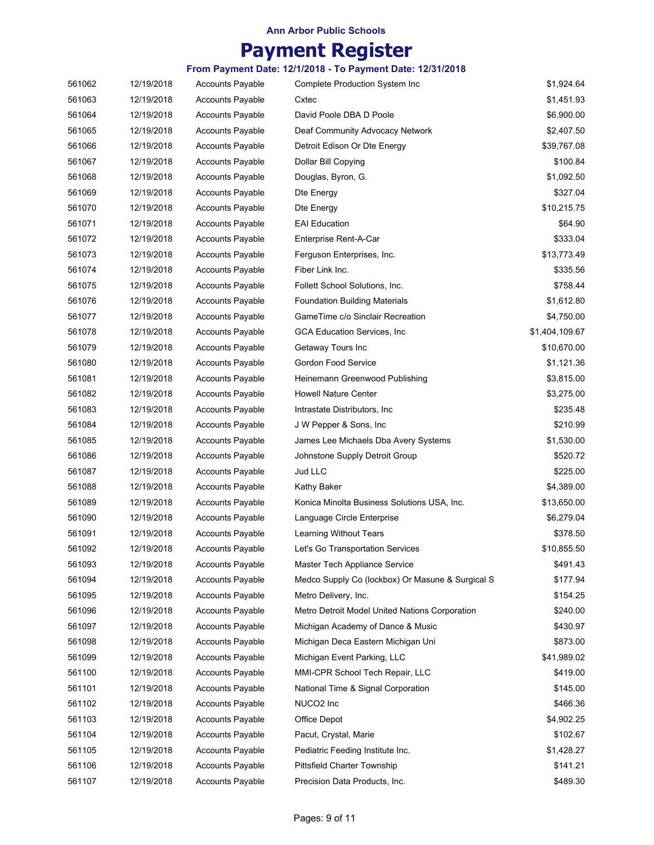# **Payment Register**

| 561062 | 12/19/2018 | <b>Accounts Payable</b> | <b>Complete Production System Inc</b>            | \$1,924.64     |
|--------|------------|-------------------------|--------------------------------------------------|----------------|
| 561063 | 12/19/2018 | <b>Accounts Payable</b> | Cxtec                                            | \$1,451.93     |
| 561064 | 12/19/2018 | Accounts Payable        | David Poole DBA D Poole                          | \$6,900.00     |
| 561065 | 12/19/2018 | <b>Accounts Payable</b> | Deaf Community Advocacy Network                  | \$2,407.50     |
| 561066 | 12/19/2018 | Accounts Payable        | Detroit Edison Or Dte Energy                     | \$39,767.08    |
| 561067 | 12/19/2018 | <b>Accounts Payable</b> | Dollar Bill Copying                              | \$100.84       |
| 561068 | 12/19/2018 | <b>Accounts Payable</b> | Douglas, Byron, G.                               | \$1,092.50     |
| 561069 | 12/19/2018 | <b>Accounts Payable</b> | Dte Energy                                       | \$327.04       |
| 561070 | 12/19/2018 | <b>Accounts Payable</b> | Dte Energy                                       | \$10,215.75    |
| 561071 | 12/19/2018 | <b>Accounts Payable</b> | <b>EAI Education</b>                             | \$64.90        |
| 561072 | 12/19/2018 | <b>Accounts Payable</b> | Enterprise Rent-A-Car                            | \$333.04       |
| 561073 | 12/19/2018 | Accounts Payable        | Ferguson Enterprises, Inc.                       | \$13,773.49    |
| 561074 | 12/19/2018 | <b>Accounts Payable</b> | Fiber Link Inc.                                  | \$335.56       |
| 561075 | 12/19/2018 | <b>Accounts Payable</b> | Follett School Solutions, Inc.                   | \$758.44       |
| 561076 | 12/19/2018 | <b>Accounts Payable</b> | <b>Foundation Building Materials</b>             | \$1,612.80     |
| 561077 | 12/19/2018 | <b>Accounts Payable</b> | GameTime c/o Sinclair Recreation                 | \$4,750.00     |
| 561078 | 12/19/2018 | <b>Accounts Payable</b> | GCA Education Services, Inc                      | \$1,404,109.67 |
| 561079 | 12/19/2018 | <b>Accounts Payable</b> | Getaway Tours Inc                                | \$10,670.00    |
| 561080 | 12/19/2018 | <b>Accounts Payable</b> | Gordon Food Service                              | \$1,121.36     |
| 561081 | 12/19/2018 | <b>Accounts Payable</b> | Heinemann Greenwood Publishing                   | \$3,815.00     |
| 561082 | 12/19/2018 | <b>Accounts Payable</b> | <b>Howell Nature Center</b>                      | \$3,275.00     |
| 561083 | 12/19/2018 | <b>Accounts Payable</b> | Intrastate Distributors, Inc                     | \$235.48       |
| 561084 | 12/19/2018 | <b>Accounts Payable</b> | J W Pepper & Sons, Inc.                          | \$210.99       |
| 561085 | 12/19/2018 | <b>Accounts Payable</b> | James Lee Michaels Dba Avery Systems             | \$1,530.00     |
| 561086 | 12/19/2018 | <b>Accounts Payable</b> | Johnstone Supply Detroit Group                   | \$520.72       |
| 561087 | 12/19/2018 | <b>Accounts Payable</b> | Jud LLC                                          | \$225.00       |
| 561088 | 12/19/2018 | <b>Accounts Payable</b> | Kathy Baker                                      | \$4,389.00     |
| 561089 | 12/19/2018 | <b>Accounts Payable</b> | Konica Minolta Business Solutions USA, Inc.      | \$13,650.00    |
| 561090 | 12/19/2018 | <b>Accounts Payable</b> | Language Circle Enterprise                       | \$6,279.04     |
| 561091 | 12/19/2018 | <b>Accounts Payable</b> | Learning Without Tears                           | \$378.50       |
| 561092 | 12/19/2018 | <b>Accounts Payable</b> | Let's Go Transportation Services                 | \$10,855.50    |
| 561093 | 12/19/2018 | <b>Accounts Payable</b> | Master Tech Appliance Service                    | \$491.43       |
| 561094 | 12/19/2018 | <b>Accounts Payable</b> | Medco Supply Co (lockbox) Or Masune & Surgical S | \$177.94       |
| 561095 | 12/19/2018 | <b>Accounts Payable</b> | Metro Delivery, Inc.                             | \$154.25       |
| 561096 | 12/19/2018 | <b>Accounts Payable</b> | Metro Detroit Model United Nations Corporation   | \$240.00       |
| 561097 | 12/19/2018 | <b>Accounts Payable</b> | Michigan Academy of Dance & Music                | \$430.97       |
| 561098 | 12/19/2018 | <b>Accounts Payable</b> | Michigan Deca Eastern Michigan Uni               | \$873.00       |
| 561099 | 12/19/2018 | <b>Accounts Payable</b> | Michigan Event Parking, LLC                      | \$41,989.02    |
| 561100 | 12/19/2018 | <b>Accounts Payable</b> | MMI-CPR School Tech Repair, LLC                  | \$419.00       |
| 561101 | 12/19/2018 | <b>Accounts Payable</b> | National Time & Signal Corporation               | \$145.00       |
| 561102 | 12/19/2018 | Accounts Payable        | NUCO2 Inc                                        | \$466.36       |
| 561103 | 12/19/2018 | <b>Accounts Payable</b> | Office Depot                                     | \$4,902.25     |
| 561104 | 12/19/2018 | <b>Accounts Payable</b> | Pacut, Crystal, Marie                            | \$102.67       |
| 561105 | 12/19/2018 | <b>Accounts Payable</b> | Pediatric Feeding Institute Inc.                 | \$1,428.27     |
| 561106 | 12/19/2018 | Accounts Payable        | <b>Pittsfield Charter Township</b>               | \$141.21       |
| 561107 | 12/19/2018 | <b>Accounts Payable</b> | Precision Data Products, Inc.                    | \$489.30       |
|        |            |                         |                                                  |                |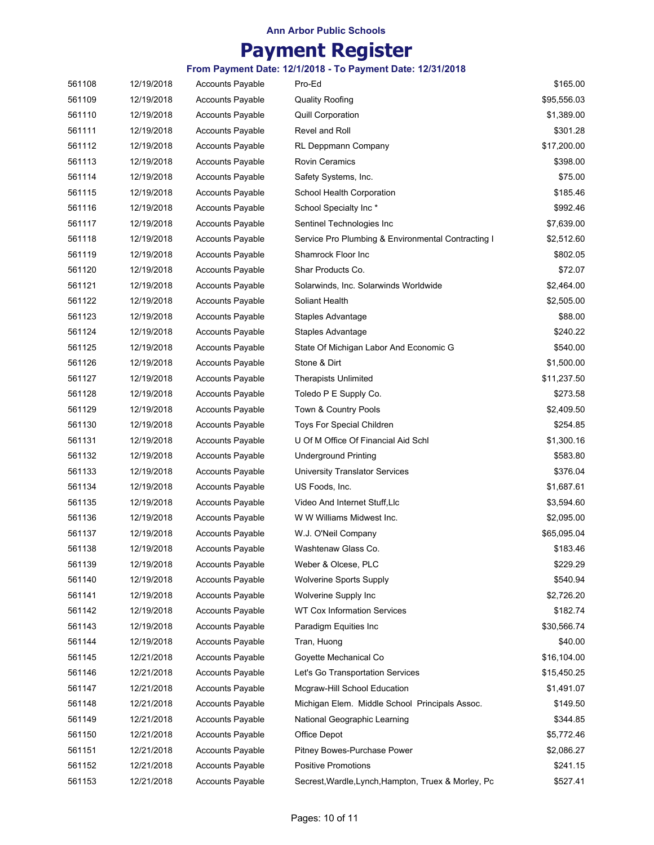# **Payment Register**

| 561108 | 12/19/2018 | <b>Accounts Payable</b> | Pro-Ed                                              | \$165.00    |
|--------|------------|-------------------------|-----------------------------------------------------|-------------|
| 561109 | 12/19/2018 | Accounts Payable        | <b>Quality Roofing</b>                              | \$95,556.03 |
| 561110 | 12/19/2018 | <b>Accounts Payable</b> | <b>Quill Corporation</b>                            | \$1,389.00  |
| 561111 | 12/19/2018 | <b>Accounts Payable</b> | Revel and Roll                                      | \$301.28    |
| 561112 | 12/19/2018 | <b>Accounts Payable</b> | RL Deppmann Company                                 | \$17,200.00 |
| 561113 | 12/19/2018 | <b>Accounts Payable</b> | <b>Rovin Ceramics</b>                               | \$398.00    |
| 561114 | 12/19/2018 | <b>Accounts Payable</b> | Safety Systems, Inc.                                | \$75.00     |
| 561115 | 12/19/2018 | <b>Accounts Payable</b> | School Health Corporation                           | \$185.46    |
| 561116 | 12/19/2018 | <b>Accounts Payable</b> | School Specialty Inc*                               | \$992.46    |
| 561117 | 12/19/2018 | <b>Accounts Payable</b> | Sentinel Technologies Inc                           | \$7,639.00  |
| 561118 | 12/19/2018 | <b>Accounts Payable</b> | Service Pro Plumbing & Environmental Contracting I  | \$2,512.60  |
| 561119 | 12/19/2018 | <b>Accounts Payable</b> | Shamrock Floor Inc                                  | \$802.05    |
| 561120 | 12/19/2018 | <b>Accounts Payable</b> | Shar Products Co.                                   | \$72.07     |
| 561121 | 12/19/2018 | <b>Accounts Payable</b> | Solarwinds, Inc. Solarwinds Worldwide               | \$2,464.00  |
| 561122 | 12/19/2018 | <b>Accounts Payable</b> | Soliant Health                                      | \$2,505.00  |
| 561123 | 12/19/2018 | <b>Accounts Payable</b> | Staples Advantage                                   | \$88.00     |
| 561124 | 12/19/2018 | <b>Accounts Payable</b> | Staples Advantage                                   | \$240.22    |
| 561125 | 12/19/2018 | <b>Accounts Payable</b> | State Of Michigan Labor And Economic G              | \$540.00    |
| 561126 | 12/19/2018 | <b>Accounts Payable</b> | Stone & Dirt                                        | \$1,500.00  |
| 561127 | 12/19/2018 | <b>Accounts Payable</b> | <b>Therapists Unlimited</b>                         | \$11,237.50 |
| 561128 | 12/19/2018 | <b>Accounts Payable</b> | Toledo P E Supply Co.                               | \$273.58    |
| 561129 | 12/19/2018 | <b>Accounts Payable</b> | Town & Country Pools                                | \$2,409.50  |
| 561130 | 12/19/2018 | <b>Accounts Payable</b> | Toys For Special Children                           | \$254.85    |
| 561131 | 12/19/2018 | <b>Accounts Payable</b> | U Of M Office Of Financial Aid Schl                 | \$1,300.16  |
| 561132 | 12/19/2018 | <b>Accounts Payable</b> | <b>Underground Printing</b>                         | \$583.80    |
| 561133 | 12/19/2018 | <b>Accounts Payable</b> | <b>University Translator Services</b>               | \$376.04    |
| 561134 | 12/19/2018 | <b>Accounts Payable</b> | US Foods, Inc.                                      | \$1,687.61  |
| 561135 | 12/19/2018 | <b>Accounts Payable</b> | Video And Internet Stuff, Llc                       | \$3,594.60  |
| 561136 | 12/19/2018 | <b>Accounts Payable</b> | W W Williams Midwest Inc.                           | \$2,095.00  |
| 561137 | 12/19/2018 | <b>Accounts Payable</b> | W.J. O'Neil Company                                 | \$65,095.04 |
| 561138 | 12/19/2018 | <b>Accounts Payable</b> | Washtenaw Glass Co.                                 | \$183.46    |
| 561139 | 12/19/2018 | <b>Accounts Payable</b> | Weber & Olcese, PLC                                 | \$229.29    |
| 561140 | 12/19/2018 | <b>Accounts Payable</b> | <b>Wolverine Sports Supply</b>                      | \$540.94    |
| 561141 | 12/19/2018 | <b>Accounts Payable</b> | Wolverine Supply Inc                                | \$2,726.20  |
| 561142 | 12/19/2018 | <b>Accounts Payable</b> | <b>WT Cox Information Services</b>                  | \$182.74    |
| 561143 | 12/19/2018 | Accounts Payable        | Paradigm Equities Inc                               | \$30,566.74 |
| 561144 | 12/19/2018 | <b>Accounts Payable</b> | Tran, Huong                                         | \$40.00     |
| 561145 | 12/21/2018 | <b>Accounts Payable</b> | Goyette Mechanical Co                               | \$16,104.00 |
| 561146 | 12/21/2018 | <b>Accounts Payable</b> | Let's Go Transportation Services                    | \$15,450.25 |
| 561147 | 12/21/2018 | <b>Accounts Payable</b> | Mcgraw-Hill School Education                        | \$1,491.07  |
| 561148 | 12/21/2018 | <b>Accounts Payable</b> | Michigan Elem. Middle School Principals Assoc.      | \$149.50    |
| 561149 | 12/21/2018 | <b>Accounts Payable</b> | National Geographic Learning                        | \$344.85    |
| 561150 | 12/21/2018 | Accounts Payable        | Office Depot                                        | \$5,772.46  |
| 561151 | 12/21/2018 | <b>Accounts Payable</b> | Pitney Bowes-Purchase Power                         | \$2,086.27  |
| 561152 | 12/21/2018 | <b>Accounts Payable</b> | <b>Positive Promotions</b>                          | \$241.15    |
| 561153 | 12/21/2018 | Accounts Payable        | Secrest, Wardle, Lynch, Hampton, Truex & Morley, Pc | \$527.41    |